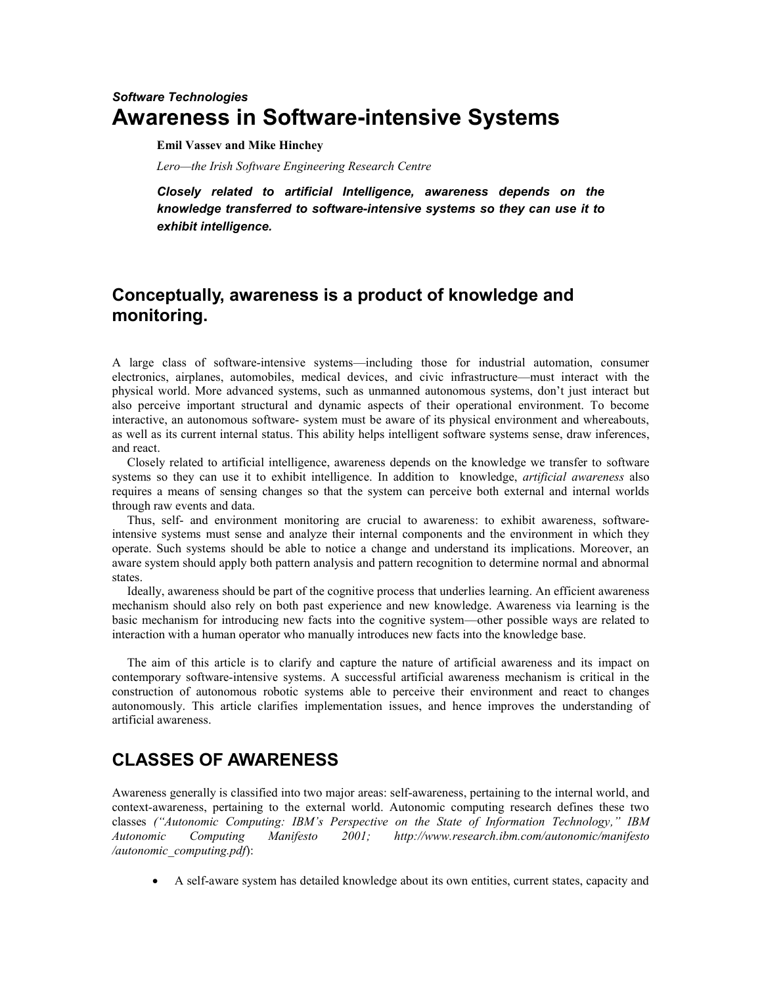# *Software Technologies* **Awareness in Software-intensive Systems**

**Emil Vassev and Mike Hinchey**

*Lero—the Irish Software Engineering Research Centre*

*Closely related to artificial Intelligence, awareness depends on the knowledge transferred to software-intensive systems so they can use it to exhibit intelligence.* 

# **Conceptually, awareness is a product of knowledge and monitoring.**

A large class of software-intensive systems—including those for industrial automation, consumer electronics, airplanes, automobiles, medical devices, and civic infrastructure—must interact with the physical world. More advanced systems, such as unmanned autonomous systems, don't just interact but also perceive important structural and dynamic aspects of their operational environment. To become interactive, an autonomous software- system must be aware of its physical environment and whereabouts, as well as its current internal status. This ability helps intelligent software systems sense, draw inferences, and react.

Closely related to artificial intelligence, awareness depends on the knowledge we transfer to software systems so they can use it to exhibit intelligence. In addition to knowledge, *artificial awareness* also requires a means of sensing changes so that the system can perceive both external and internal worlds through raw events and data.

Thus, self- and environment monitoring are crucial to awareness: to exhibit awareness, softwareintensive systems must sense and analyze their internal components and the environment in which they operate. Such systems should be able to notice a change and understand its implications. Moreover, an aware system should apply both pattern analysis and pattern recognition to determine normal and abnormal states.

Ideally, awareness should be part of the cognitive process that underlies learning. An efficient awareness mechanism should also rely on both past experience and new knowledge. Awareness via learning is the basic mechanism for introducing new facts into the cognitive system—other possible ways are related to interaction with a human operator who manually introduces new facts into the knowledge base.

The aim of this article is to clarify and capture the nature of artificial awareness and its impact on contemporary software-intensive systems. A successful artificial awareness mechanism is critical in the construction of autonomous robotic systems able to perceive their environment and react to changes autonomously. This article clarifies implementation issues, and hence improves the understanding of artificial awareness.

## **CLASSES OF AWARENESS**

Awareness generally is classified into two major areas: self-awareness, pertaining to the internal world, and context-awareness, pertaining to the external world. Autonomic computing research defines these two classes *("Autonomic Computing: IBM's Perspective on the State of Information Technology," IBM Autonomic Computing Manifesto 2001; http://www.research.ibm.com/autonomic/manifesto /autonomic\_computing.pdf*):

A self-aware system has detailed knowledge about its own entities, current states, capacity and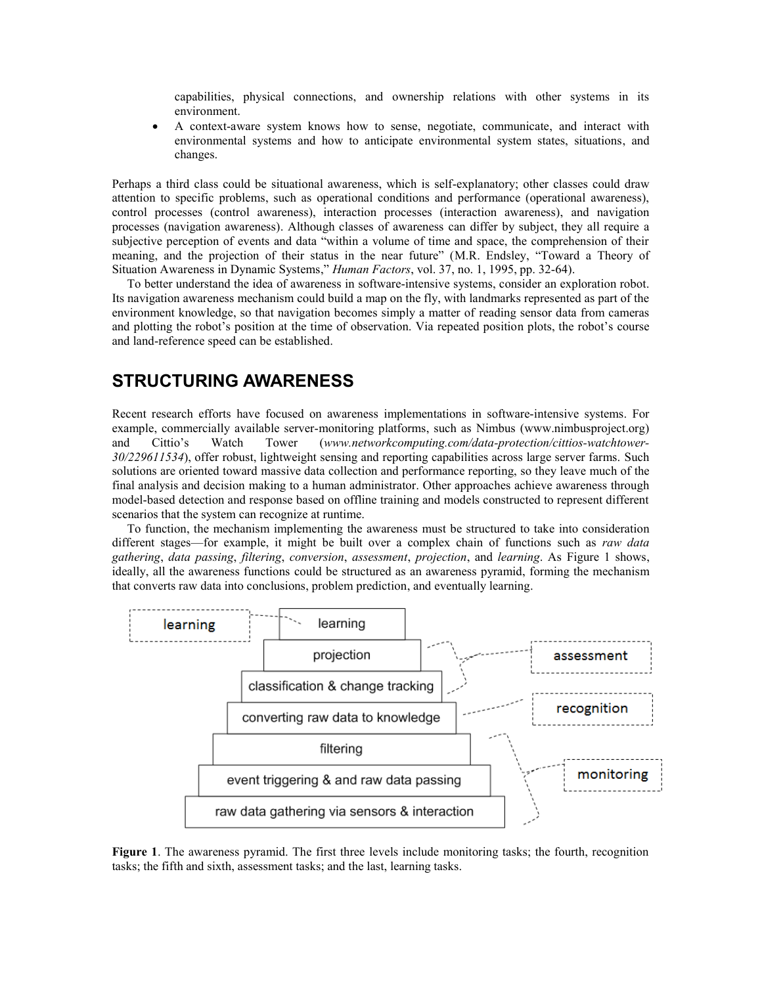capabilities, physical connections, and ownership relations with other systems in its environment.

 A context-aware system knows how to sense, negotiate, communicate, and interact with environmental systems and how to anticipate environmental system states, situations, and changes.

Perhaps a third class could be situational awareness, which is self-explanatory; other classes could draw attention to specific problems, such as operational conditions and performance (operational awareness), control processes (control awareness), interaction processes (interaction awareness), and navigation processes (navigation awareness). Although classes of awareness can differ by subject, they all require a subjective perception of events and data "within a volume of time and space, the comprehension of their meaning, and the projection of their status in the near future" (M.R. Endsley, "Toward a Theory of Situation Awareness in Dynamic Systems," *Human Factors*, vol. 37, no. 1, 1995, pp. 32-64).

To better understand the idea of awareness in software-intensive systems, consider an exploration robot. Its navigation awareness mechanism could build a map on the fly, with landmarks represented as part of the environment knowledge, so that navigation becomes simply a matter of reading sensor data from cameras and plotting the robot's position at the time of observation. Via repeated position plots, the robot's course and land-reference speed can be established.

### **STRUCTURING AWARENESS**

Recent research efforts have focused on awareness implementations in software-intensive systems. For example, commercially available server-monitoring platforms, such as Nimbus (www.nimbusproject.org) and Cittio's Watch Tower (*www.networkcomputing.com/data-protection/cittios-watchtower-30/229611534*), offer robust, lightweight sensing and reporting capabilities across large server farms. Such solutions are oriented toward massive data collection and performance reporting, so they leave much of the final analysis and decision making to a human administrator. Other approaches achieve awareness through model-based detection and response based on offline training and models constructed to represent different scenarios that the system can recognize at runtime.

To function, the mechanism implementing the awareness must be structured to take into consideration different stages—for example, it might be built over a complex chain of functions such as *raw data gathering*, *data passing*, *filtering*, *conversion*, *assessment*, *projection*, and *learning*. As Figure 1 shows, ideally, all the awareness functions could be structured as an awareness pyramid, forming the mechanism that converts raw data into conclusions, problem prediction, and eventually learning.



**Figure 1**. The awareness pyramid. The first three levels include monitoring tasks; the fourth, recognition tasks; the fifth and sixth, assessment tasks; and the last, learning tasks.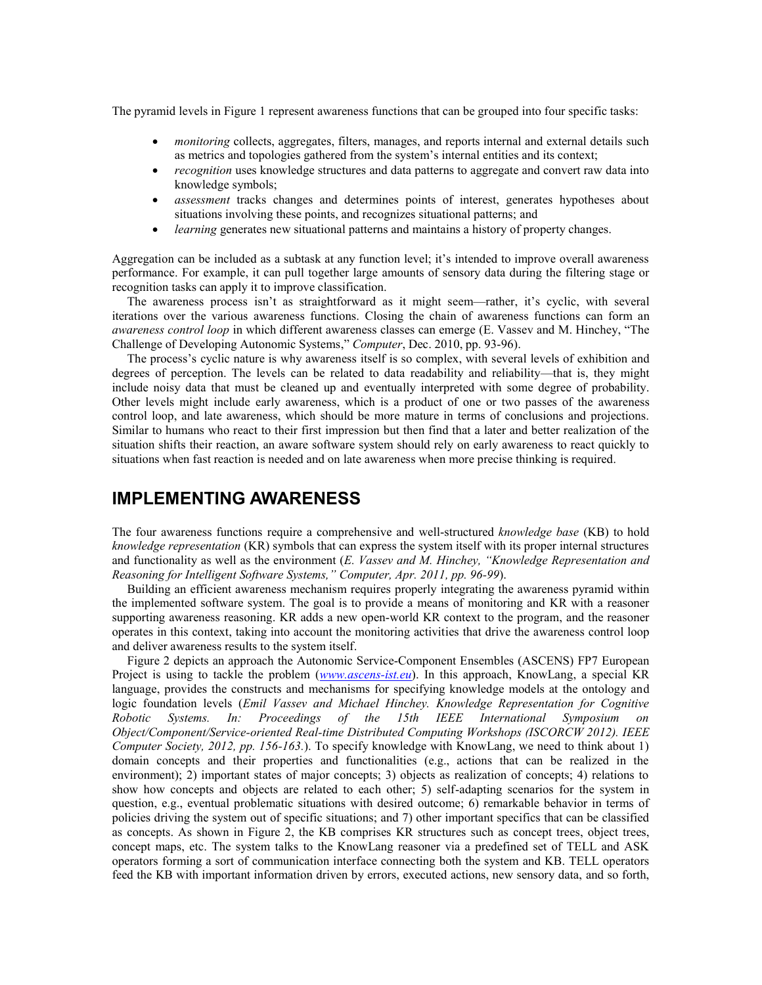The pyramid levels in Figure 1 represent awareness functions that can be grouped into four specific tasks:

- *monitoring* collects, aggregates, filters, manages, and reports internal and external details such as metrics and topologies gathered from the system's internal entities and its context;
- *recognition* uses knowledge structures and data patterns to aggregate and convert raw data into knowledge symbols;
- *assessment* tracks changes and determines points of interest, generates hypotheses about situations involving these points, and recognizes situational patterns; and
- *learning* generates new situational patterns and maintains a history of property changes.

Aggregation can be included as a subtask at any function level; it's intended to improve overall awareness performance. For example, it can pull together large amounts of sensory data during the filtering stage or recognition tasks can apply it to improve classification.

The awareness process isn't as straightforward as it might seem—rather, it's cyclic, with several iterations over the various awareness functions. Closing the chain of awareness functions can form an *awareness control loop* in which different awareness classes can emerge (E. Vassev and M. Hinchey, "The Challenge of Developing Autonomic Systems," *Computer*, Dec. 2010, pp. 93-96).

The process's cyclic nature is why awareness itself is so complex, with several levels of exhibition and degrees of perception. The levels can be related to data readability and reliability—that is, they might include noisy data that must be cleaned up and eventually interpreted with some degree of probability. Other levels might include early awareness, which is a product of one or two passes of the awareness control loop, and late awareness, which should be more mature in terms of conclusions and projections. Similar to humans who react to their first impression but then find that a later and better realization of the situation shifts their reaction, an aware software system should rely on early awareness to react quickly to situations when fast reaction is needed and on late awareness when more precise thinking is required.

### **IMPLEMENTING AWARENESS**

The four awareness functions require a comprehensive and well-structured *knowledge base* (KB) to hold *knowledge representation* (KR) symbols that can express the system itself with its proper internal structures and functionality as well as the environment (*E. Vassev and M. Hinchey, "Knowledge Representation and Reasoning for Intelligent Software Systems," Computer, Apr. 2011, pp. 96-99*).

Building an efficient awareness mechanism requires properly integrating the awareness pyramid within the implemented software system. The goal is to provide a means of monitoring and KR with a reasoner supporting awareness reasoning. KR adds a new open-world KR context to the program, and the reasoner operates in this context, taking into account the monitoring activities that drive the awareness control loop and deliver awareness results to the system itself.

Figure 2 depicts an approach the Autonomic Service-Component Ensembles (ASCENS) FP7 European Project is using to tackle the problem (*[www.ascens-ist.eu](http://www.ascens-ist.eu/)*). In this approach, KnowLang, a special KR language, provides the constructs and mechanisms for specifying knowledge models at the ontology and logic foundation levels (*Emil Vassev and Michael Hinchey. Knowledge Representation for Cognitive Robotic Systems. In: Proceedings of the 15th IEEE International Symposium on Object/Component/Service-oriented Real-time Distributed Computing Workshops (ISCORCW 2012). IEEE Computer Society, 2012, pp. 156-163.*). To specify knowledge with KnowLang, we need to think about 1) domain concepts and their properties and functionalities (e.g., actions that can be realized in the environment); 2) important states of major concepts; 3) objects as realization of concepts; 4) relations to show how concepts and objects are related to each other; 5) self-adapting scenarios for the system in question, e.g., eventual problematic situations with desired outcome; 6) remarkable behavior in terms of policies driving the system out of specific situations; and 7) other important specifics that can be classified as concepts. As shown in Figure 2, the KB comprises KR structures such as concept trees, object trees, concept maps, etc. The system talks to the KnowLang reasoner via a predefined set of TELL and ASK operators forming a sort of communication interface connecting both the system and KB. TELL operators feed the KB with important information driven by errors, executed actions, new sensory data, and so forth,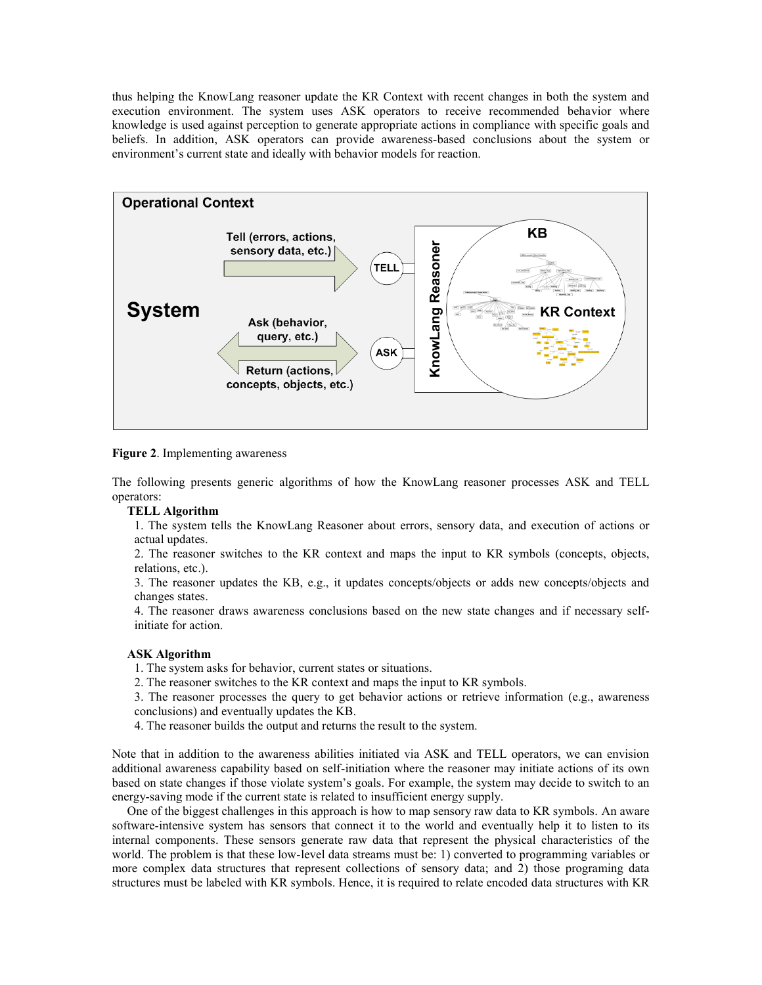thus helping the KnowLang reasoner update the KR Context with recent changes in both the system and execution environment. The system uses ASK operators to receive recommended behavior where knowledge is used against perception to generate appropriate actions in compliance with specific goals and beliefs. In addition, ASK operators can provide awareness-based conclusions about the system or environment's current state and ideally with behavior models for reaction.



**Figure 2**. Implementing awareness

The following presents generic algorithms of how the KnowLang reasoner processes ASK and TELL operators:

#### **TELL Algorithm**

1. The system tells the KnowLang Reasoner about errors, sensory data, and execution of actions or actual updates.

2. The reasoner switches to the KR context and maps the input to KR symbols (concepts, objects, relations, etc.).

3. The reasoner updates the KB, e.g., it updates concepts/objects or adds new concepts/objects and changes states.

4. The reasoner draws awareness conclusions based on the new state changes and if necessary selfinitiate for action.

#### **ASK Algorithm**

1. The system asks for behavior, current states or situations.

2. The reasoner switches to the KR context and maps the input to KR symbols.

3. The reasoner processes the query to get behavior actions or retrieve information (e.g., awareness conclusions) and eventually updates the KB.

4. The reasoner builds the output and returns the result to the system.

Note that in addition to the awareness abilities initiated via ASK and TELL operators, we can envision additional awareness capability based on self-initiation where the reasoner may initiate actions of its own based on state changes if those violate system's goals. For example, the system may decide to switch to an energy-saving mode if the current state is related to insufficient energy supply.

One of the biggest challenges in this approach is how to map sensory raw data to KR symbols. An aware software-intensive system has sensors that connect it to the world and eventually help it to listen to its internal components. These sensors generate raw data that represent the physical characteristics of the world. The problem is that these low-level data streams must be: 1) converted to programming variables or more complex data structures that represent collections of sensory data; and 2) those programing data structures must be labeled with KR symbols. Hence, it is required to relate encoded data structures with KR